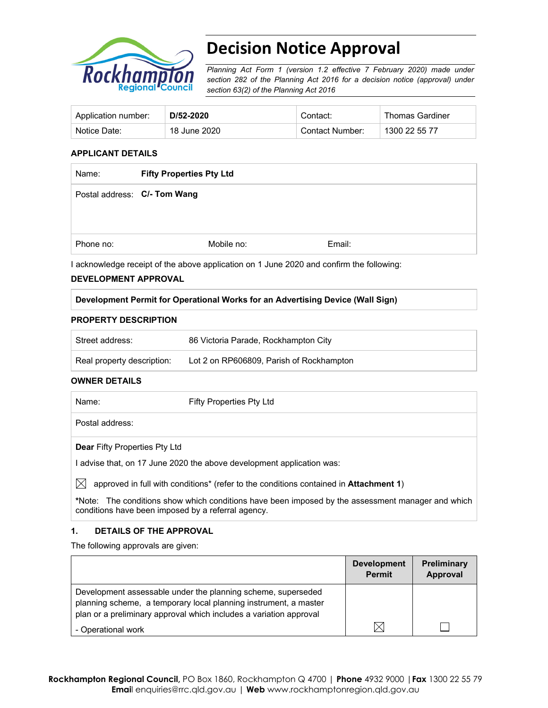

# **Decision Notice Approval**

*Planning Act Form 1 (version 1.2 effective 7 February 2020) made under section 282 of the Planning Act 2016 for a decision notice (approval) under section 63(2) of the Planning Act 2016*

| Application number: | D/52-2020    | Contact:        | Thomas Gardiner |
|---------------------|--------------|-----------------|-----------------|
| Notice Date:        | 18 June 2020 | Contact Number: | 1300 22 55 77   |

## **APPLICANT DETAILS**

| Name:     | <b>Fifty Properties Pty Ltd</b> |            |        |
|-----------|---------------------------------|------------|--------|
|           | Postal address: C/- Tom Wang    |            |        |
| Phone no: |                                 | Mobile no: | Email: |

I acknowledge receipt of the above application on 1 June 2020 and confirm the following:

#### **DEVELOPMENT APPROVAL**

# **Development Permit for Operational Works for an Advertising Device (Wall Sign)**

#### **PROPERTY DESCRIPTION**

| Street address:            | 86 Victoria Parade, Rockhampton City     |
|----------------------------|------------------------------------------|
| Real property description: | Lot 2 on RP606809, Parish of Rockhampton |

#### **OWNER DETAILS**

| Name:                                | Fifty Properties Pty Ltd |
|--------------------------------------|--------------------------|
| Postal address:                      |                          |
| <b>Dear Fifty Properties Pty Ltd</b> |                          |

I advise that, on 17 June 2020 the above development application was:

 $\boxtimes$  approved in full with conditions<sup>\*</sup> (refer to the conditions contained in **Attachment 1**)

**\***Note:The conditions show which conditions have been imposed by the assessment manager and which conditions have been imposed by a referral agency.

# **1. DETAILS OF THE APPROVAL**

The following approvals are given:

|                                                                                                                                                                                                        | <b>Development</b><br><b>Permit</b> | <b>Preliminary</b><br>Approval |
|--------------------------------------------------------------------------------------------------------------------------------------------------------------------------------------------------------|-------------------------------------|--------------------------------|
| Development assessable under the planning scheme, superseded<br>planning scheme, a temporary local planning instrument, a master<br>plan or a preliminary approval which includes a variation approval |                                     |                                |
| - Operational work                                                                                                                                                                                     |                                     |                                |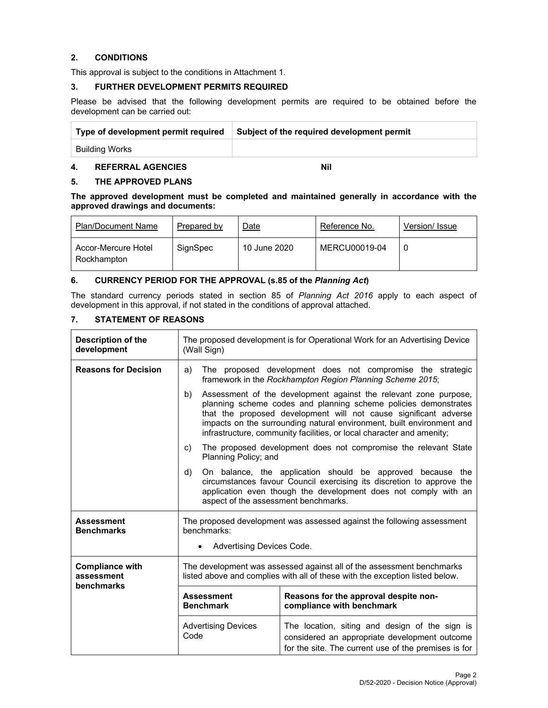# **2. CONDITIONS**

This approval is subject to the conditions in Attachment 1.

### **3. FURTHER DEVELOPMENT PERMITS REQUIRED**

Please be advised that the following development permits are required to be obtained before the development can be carried out:

| Type of development permit required | Subject of the required development permit |
|-------------------------------------|--------------------------------------------|
| Building Works                      |                                            |

#### **4. REFERRAL AGENCIES Nil**

# **5. THE APPROVED PLANS**

**The approved development must be completed and maintained generally in accordance with the approved drawings and documents:** 

| <b>Plan/Document Name</b>          | Prepared by | Date         | Reference No. | Version/ Issue |
|------------------------------------|-------------|--------------|---------------|----------------|
| Accor-Mercure Hotel<br>Rockhampton | SignSpec    | 10 June 2020 | MERCU00019-04 |                |

# **6. CURRENCY PERIOD FOR THE APPROVAL (s.85 of the** *Planning Act***)**

The standard currency periods stated in section 85 of *Planning Act 2016* apply to each aspect of development in this approval, if not stated in the conditions of approval attached.

# **7. STATEMENT OF REASONS**

| Description of the<br>development                  | The proposed development is for Operational Work for an Advertising Device<br>(Wall Sign)                                                                                                                                                                                                                                                                       |                                                                                                                                                         |  |  |
|----------------------------------------------------|-----------------------------------------------------------------------------------------------------------------------------------------------------------------------------------------------------------------------------------------------------------------------------------------------------------------------------------------------------------------|---------------------------------------------------------------------------------------------------------------------------------------------------------|--|--|
| <b>Reasons for Decision</b>                        | The proposed development does not compromise the strategic<br>a)<br>framework in the Rockhampton Region Planning Scheme 2015;                                                                                                                                                                                                                                   |                                                                                                                                                         |  |  |
|                                                    | Assessment of the development against the relevant zone purpose,<br>b)<br>planning scheme codes and planning scheme policies demonstrates<br>that the proposed development will not cause significant adverse<br>impacts on the surrounding natural environment, built environment and<br>infrastructure, community facilities, or local character and amenity; |                                                                                                                                                         |  |  |
|                                                    | The proposed development does not compromise the relevant State<br>C)<br>Planning Policy; and                                                                                                                                                                                                                                                                   |                                                                                                                                                         |  |  |
|                                                    | d)<br>On balance, the application should be approved because the<br>circumstances favour Council exercising its discretion to approve the<br>application even though the development does not comply with an<br>aspect of the assessment benchmarks.                                                                                                            |                                                                                                                                                         |  |  |
| <b>Assessment</b><br><b>Benchmarks</b>             | The proposed development was assessed against the following assessment<br>benchmarks:                                                                                                                                                                                                                                                                           |                                                                                                                                                         |  |  |
|                                                    | Advertising Devices Code.                                                                                                                                                                                                                                                                                                                                       |                                                                                                                                                         |  |  |
| <b>Compliance with</b><br>assessment<br>benchmarks | The development was assessed against all of the assessment benchmarks<br>listed above and complies with all of these with the exception listed below.                                                                                                                                                                                                           |                                                                                                                                                         |  |  |
|                                                    | <b>Assessment</b><br><b>Benchmark</b>                                                                                                                                                                                                                                                                                                                           | Reasons for the approval despite non-<br>compliance with benchmark                                                                                      |  |  |
|                                                    | <b>Advertising Devices</b><br>Code                                                                                                                                                                                                                                                                                                                              | The location, siting and design of the sign is<br>considered an appropriate development outcome<br>for the site. The current use of the premises is for |  |  |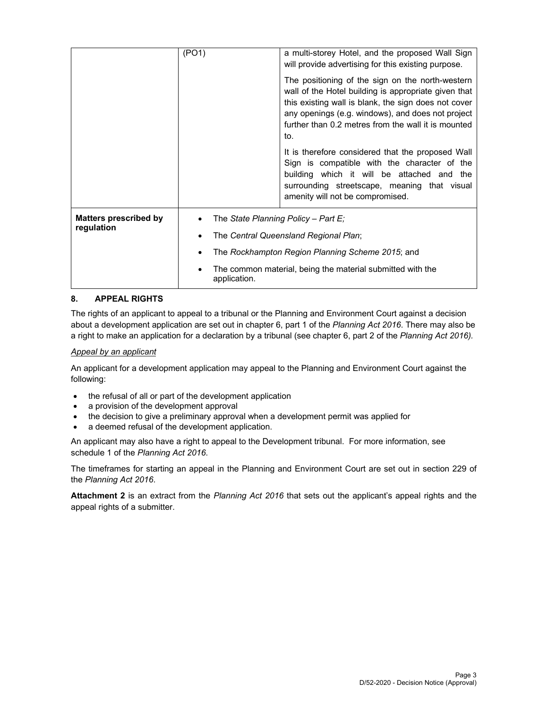|                                            | (PO1)                               | a multi-storey Hotel, and the proposed Wall Sign<br>will provide advertising for this existing purpose.<br>The positioning of the sign on the north-western<br>wall of the Hotel building is appropriate given that<br>this existing wall is blank, the sign does not cover<br>any openings (e.g. windows), and does not project<br>further than 0.2 metres from the wall it is mounted<br>to. |  |  |  |
|--------------------------------------------|-------------------------------------|------------------------------------------------------------------------------------------------------------------------------------------------------------------------------------------------------------------------------------------------------------------------------------------------------------------------------------------------------------------------------------------------|--|--|--|
|                                            |                                     | It is therefore considered that the proposed Wall<br>Sign is compatible with the character of the<br>building which it will be attached and the<br>surrounding streetscape, meaning that visual<br>amenity will not be compromised.                                                                                                                                                            |  |  |  |
| <b>Matters prescribed by</b><br>regulation | The State Planning Policy - Part E; |                                                                                                                                                                                                                                                                                                                                                                                                |  |  |  |
|                                            |                                     | The Central Queensland Regional Plan;                                                                                                                                                                                                                                                                                                                                                          |  |  |  |
|                                            |                                     | The Rockhampton Region Planning Scheme 2015; and                                                                                                                                                                                                                                                                                                                                               |  |  |  |
|                                            | application.                        | The common material, being the material submitted with the                                                                                                                                                                                                                                                                                                                                     |  |  |  |

# **8. APPEAL RIGHTS**

The rights of an applicant to appeal to a tribunal or the Planning and Environment Court against a decision about a development application are set out in chapter 6, part 1 of the *Planning Act 2016*. There may also be a right to make an application for a declaration by a tribunal (see chapter 6, part 2 of the *Planning Act 2016).*

#### *Appeal by an applicant*

An applicant for a development application may appeal to the Planning and Environment Court against the following:

- the refusal of all or part of the development application
- a provision of the development approval
- the decision to give a preliminary approval when a development permit was applied for
- a deemed refusal of the development application.

An applicant may also have a right to appeal to the Development tribunal. For more information, see schedule 1 of the *Planning Act 2016*.

The timeframes for starting an appeal in the Planning and Environment Court are set out in section 229 of the *Planning Act 2016*.

**Attachment 2** is an extract from the *Planning Act 2016* that sets out the applicant's appeal rights and the appeal rights of a submitter.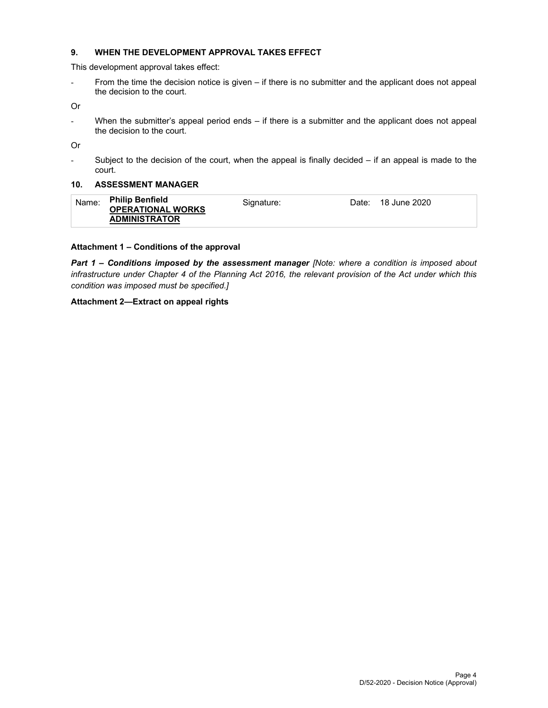## **9. WHEN THE DEVELOPMENT APPROVAL TAKES EFFECT**

This development approval takes effect:

- From the time the decision notice is given – if there is no submitter and the applicant does not appeal the decision to the court.

Or

- When the submitter's appeal period ends – if there is a submitter and the applicant does not appeal the decision to the court.

Or

- Subject to the decision of the court, when the appeal is finally decided – if an appeal is made to the court.

#### **10. ASSESSMENT MANAGER**

| Name: | <b>Philip Benfield</b>   | Signature: | Date: 18 June 2020 |
|-------|--------------------------|------------|--------------------|
|       | <b>OPERATIONAL WORKS</b> |            |                    |
|       | <b>ADMINISTRATOR</b>     |            |                    |

#### **Attachment 1 – Conditions of the approval**

*Part 1* **–** *Conditions imposed by the assessment manager [Note: where a condition is imposed about infrastructure under Chapter 4 of the Planning Act 2016, the relevant provision of the Act under which this condition was imposed must be specified.]*

# **Attachment 2—Extract on appeal rights**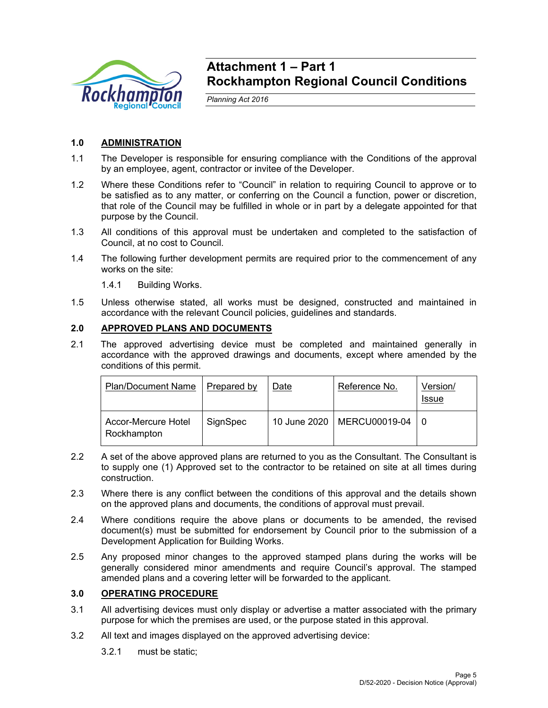

# **Attachment 1 – Part 1 Rockhampton Regional Council Conditions**

*Planning Act 2016* 

# **1.0 ADMINISTRATION**

- 1.1 The Developer is responsible for ensuring compliance with the Conditions of the approval by an employee, agent, contractor or invitee of the Developer.
- 1.2 Where these Conditions refer to "Council" in relation to requiring Council to approve or to be satisfied as to any matter, or conferring on the Council a function, power or discretion, that role of the Council may be fulfilled in whole or in part by a delegate appointed for that purpose by the Council.
- 1.3 All conditions of this approval must be undertaken and completed to the satisfaction of Council, at no cost to Council.
- 1.4 The following further development permits are required prior to the commencement of any works on the site:
	- 1.4.1 Building Works.
- 1.5 Unless otherwise stated, all works must be designed, constructed and maintained in accordance with the relevant Council policies, guidelines and standards.

# **2.0 APPROVED PLANS AND DOCUMENTS**

2.1 The approved advertising device must be completed and maintained generally in accordance with the approved drawings and documents, except where amended by the conditions of this permit.

| <b>Plan/Document Name</b>          | Prepared by | Date | Reference No.                | Version/<br><b>Issue</b> |
|------------------------------------|-------------|------|------------------------------|--------------------------|
| Accor-Mercure Hotel<br>Rockhampton | SignSpec    |      | 10 June 2020   MERCU00019-04 |                          |

- 2.2 A set of the above approved plans are returned to you as the Consultant. The Consultant is to supply one (1) Approved set to the contractor to be retained on site at all times during construction.
- 2.3 Where there is any conflict between the conditions of this approval and the details shown on the approved plans and documents, the conditions of approval must prevail.
- 2.4 Where conditions require the above plans or documents to be amended, the revised document(s) must be submitted for endorsement by Council prior to the submission of a Development Application for Building Works.
- 2.5 Any proposed minor changes to the approved stamped plans during the works will be generally considered minor amendments and require Council's approval. The stamped amended plans and a covering letter will be forwarded to the applicant.

# **3.0 OPERATING PROCEDURE**

- 3.1 All advertising devices must only display or advertise a matter associated with the primary purpose for which the premises are used, or the purpose stated in this approval.
- 3.2 All text and images displayed on the approved advertising device:
	- 3.2.1 must be static;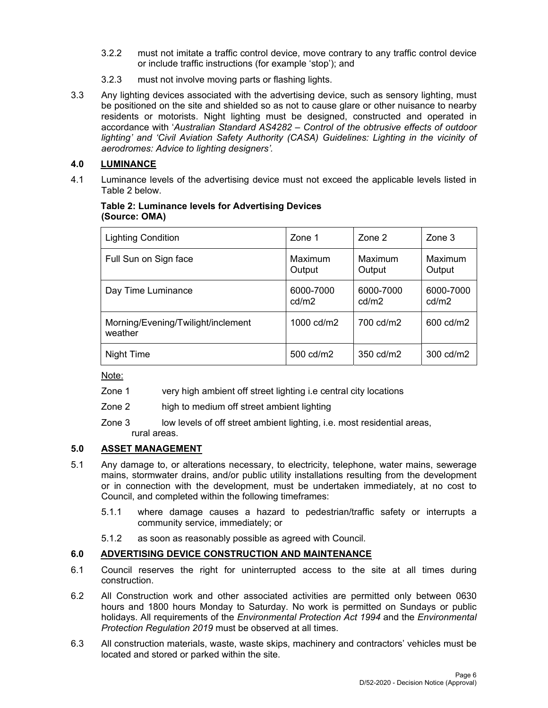- 3.2.2 must not imitate a traffic control device, move contrary to any traffic control device or include traffic instructions (for example 'stop'); and
- 3.2.3 must not involve moving parts or flashing lights.
- 3.3 Any lighting devices associated with the advertising device, such as sensory lighting, must be positioned on the site and shielded so as not to cause glare or other nuisance to nearby residents or motorists. Night lighting must be designed, constructed and operated in accordance with '*Australian Standard AS4282 – Control of the obtrusive effects of outdoor lighting' and 'Civil Aviation Safety Authority (CASA) Guidelines: Lighting in the vicinity of aerodromes: Advice to lighting designers'.*

# **4.0 LUMINANCE**

4.1 Luminance levels of the advertising device must not exceed the applicable levels listed in Table 2 below.

# **Table 2: Luminance levels for Advertising Devices (Source: OMA)**

| <b>Lighting Condition</b>                     | Zone 1             | Zone 2             | $\mathsf{Zone}\ 3$       |
|-----------------------------------------------|--------------------|--------------------|--------------------------|
| Full Sun on Sign face                         | Maximum<br>Output  | Maximum<br>Output  | <b>Maximum</b><br>Output |
| Day Time Luminance                            | 6000-7000<br>cd/m2 | 6000-7000<br>cd/m2 | 6000-7000<br>cd/m2       |
| Morning/Evening/Twilight/inclement<br>weather | 1000 cd/m2         | 700 cd/m2          | 600 cd/m2                |
| Night Time                                    | 500 cd/m2          | 350 cd/m2          | 300 cd/m2                |

Note:

- Zone 1 very high ambient off street lighting i.e central city locations
- Zone 2 high to medium off street ambient lighting
- Zone 3 low levels of off street ambient lighting, i.e. most residential areas, rural areas.

# **5.0 ASSET MANAGEMENT**

- 5.1 Any damage to, or alterations necessary, to electricity, telephone, water mains, sewerage mains, stormwater drains, and/or public utility installations resulting from the development or in connection with the development, must be undertaken immediately, at no cost to Council, and completed within the following timeframes:
	- 5.1.1 where damage causes a hazard to pedestrian/traffic safety or interrupts a community service, immediately; or
	- 5.1.2 as soon as reasonably possible as agreed with Council.

# **6.0 ADVERTISING DEVICE CONSTRUCTION AND MAINTENANCE**

- 6.1 Council reserves the right for uninterrupted access to the site at all times during construction.
- 6.2 All Construction work and other associated activities are permitted only between 0630 hours and 1800 hours Monday to Saturday. No work is permitted on Sundays or public holidays. All requirements of the *Environmental Protection Act 1994* and the *Environmental Protection Regulation 2019* must be observed at all times.
- 6.3 All construction materials, waste, waste skips, machinery and contractors' vehicles must be located and stored or parked within the site.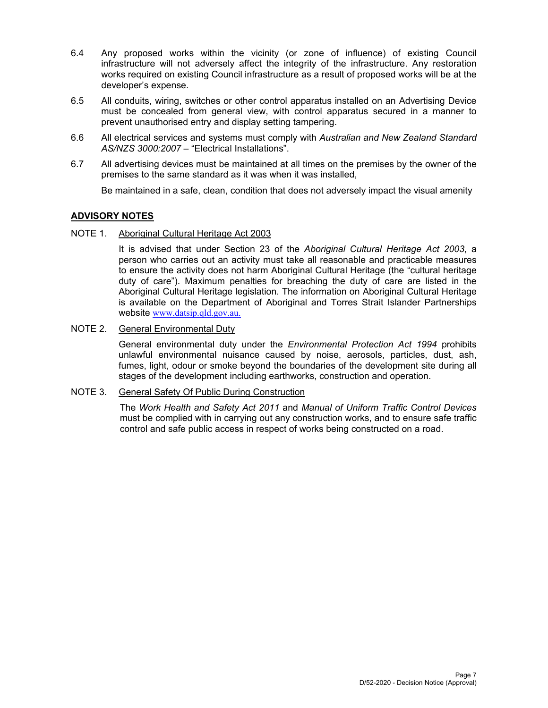- 6.4 Any proposed works within the vicinity (or zone of influence) of existing Council infrastructure will not adversely affect the integrity of the infrastructure. Any restoration works required on existing Council infrastructure as a result of proposed works will be at the developer's expense.
- 6.5 All conduits, wiring, switches or other control apparatus installed on an Advertising Device must be concealed from general view, with control apparatus secured in a manner to prevent unauthorised entry and display setting tampering.
- 6.6 All electrical services and systems must comply with *Australian and New Zealand Standard AS/NZS 3000:2007* – "Electrical Installations".
- 6.7 All advertising devices must be maintained at all times on the premises by the owner of the premises to the same standard as it was when it was installed,

Be maintained in a safe, clean, condition that does not adversely impact the visual amenity

# **ADVISORY NOTES**

NOTE 1. Aboriginal Cultural Heritage Act 2003

It is advised that under Section 23 of the *Aboriginal Cultural Heritage Act 2003*, a person who carries out an activity must take all reasonable and practicable measures to ensure the activity does not harm Aboriginal Cultural Heritage (the "cultural heritage duty of care"). Maximum penalties for breaching the duty of care are listed in the Aboriginal Cultural Heritage legislation. The information on Aboriginal Cultural Heritage is available on the Department of Aboriginal and Torres Strait Islander Partnerships website www.datsip.qld.gov.au.

# NOTE 2. General Environmental Duty

General environmental duty under the *Environmental Protection Act 1994* prohibits unlawful environmental nuisance caused by noise, aerosols, particles, dust, ash, fumes, light, odour or smoke beyond the boundaries of the development site during all stages of the development including earthworks, construction and operation.

# NOTE 3. General Safety Of Public During Construction

The *Work Health and Safety Act 2011* and *Manual of Uniform Traffic Control Devices* must be complied with in carrying out any construction works, and to ensure safe traffic control and safe public access in respect of works being constructed on a road.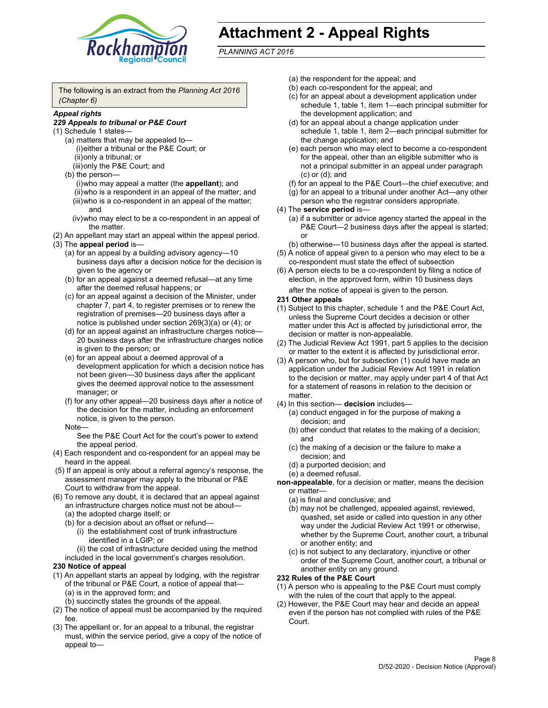

# **Attachment 2 - Appeal Rights**

*PLANNING ACT 2016*

The following is an extract from the *Planning Act 2016 (Chapter 6)*

# *Appeal rights*

#### *229 Appeals to tribunal or P&E Court*

- (1) Schedule 1 states—
	- (a) matters that may be appealed to— (i) either a tribunal or the P&E Court; or (ii) only a tribunal; or (iii) only the P&E Court; and
	- (b) the person—
		- (i) who may appeal a matter (the **appellant**); and
		- (ii) who is a respondent in an appeal of the matter; and (iii) who is a co-respondent in an appeal of the matter; and
		- (iv) who may elect to be a co-respondent in an appeal of the matter.
- (2) An appellant may start an appeal within the appeal period.
- (3) The **appeal period** is—
	- (a) for an appeal by a building advisory agency—10 business days after a decision notice for the decision is given to the agency or
	- (b) for an appeal against a deemed refusal—at any time after the deemed refusal happens; or
	- (c) for an appeal against a decision of the Minister, under chapter 7, part 4, to register premises or to renew the registration of premises—20 business days after a notice is published under section 269(3)(a) or (4); or
	- (d) for an appeal against an infrastructure charges notice— 20 business days after the infrastructure charges notice is given to the person; or
	- (e) for an appeal about a deemed approval of a development application for which a decision notice has not been given—30 business days after the applicant gives the deemed approval notice to the assessment manager; or
	- (f) for any other appeal—20 business days after a notice of the decision for the matter, including an enforcement notice, is given to the person.

#### Note—

See the P&E Court Act for the court's power to extend the appeal period.

- (4) Each respondent and co-respondent for an appeal may be heard in the appeal.
- (5) If an appeal is only about a referral agency's response, the assessment manager may apply to the tribunal or P&E Court to withdraw from the appeal.
- (6) To remove any doubt, it is declared that an appeal against an infrastructure charges notice must not be about— (a) the adopted charge itself; or
	- (b) for a decision about an offset or refund—
		- (i) the establishment cost of trunk infrastructure identified in a LGIP; or
		- (ii) the cost of infrastructure decided using the method
	- included in the local government's charges resolution.

# **230 Notice of appeal**

- (1) An appellant starts an appeal by lodging, with the registrar of the tribunal or P&E Court, a notice of appeal that— (a) is in the approved form; and
	- (b) succinctly states the grounds of the appeal.
- (2) The notice of appeal must be accompanied by the required fee.
- (3) The appellant or, for an appeal to a tribunal, the registrar must, within the service period, give a copy of the notice of appeal to—
- (a) the respondent for the appeal; and
- (b) each co-respondent for the appeal; and
- (c) for an appeal about a development application under schedule 1, table 1, item 1—each principal submitter for the development application; and
- (d) for an appeal about a change application under schedule 1, table 1, item 2—each principal submitter for the change application; and
- (e) each person who may elect to become a co-respondent for the appeal, other than an eligible submitter who is not a principal submitter in an appeal under paragraph (c) or (d); and
- (f) for an appeal to the P&E Court—the chief executive; and
- (g) for an appeal to a tribunal under another Act—any other person who the registrar considers appropriate.
- (4) The **service period** is—
	- (a) if a submitter or advice agency started the appeal in the P&E Court-2 business days after the appeal is started; or
	- (b) otherwise—10 business days after the appeal is started.
- (5) A notice of appeal given to a person who may elect to be a co-respondent must state the effect of subsection
- (6) A person elects to be a co-respondent by filing a notice of election, in the approved form, within 10 business days
	- after the notice of appeal is given to the person*.*
- **231 Other appeals**
- (1) Subject to this chapter, schedule 1 and the P&E Court Act, unless the Supreme Court decides a decision or other matter under this Act is affected by jurisdictional error, the decision or matter is non-appealable.
- (2) The Judicial Review Act 1991, part 5 applies to the decision or matter to the extent it is affected by jurisdictional error.
- (3) A person who, but for subsection (1) could have made an application under the Judicial Review Act 1991 in relation to the decision or matter, may apply under part 4 of that Act for a statement of reasons in relation to the decision or matter.
- (4) In this section— **decision** includes—
	- (a) conduct engaged in for the purpose of making a decision; and
	- (b) other conduct that relates to the making of a decision; and
	- (c) the making of a decision or the failure to make a decision; and
	- (d) a purported decision; and
	- (e) a deemed refusal.

**non-appealable**, for a decision or matter, means the decision or matter—

- (a) is final and conclusive; and
- (b) may not be challenged, appealed against, reviewed, quashed, set aside or called into question in any other way under the Judicial Review Act 1991 or otherwise, whether by the Supreme Court, another court, a tribunal or another entity; and
- (c) is not subject to any declaratory, injunctive or other order of the Supreme Court, another court, a tribunal or another entity on any ground.

#### **232 Rules of the P&E Court**

- (1) A person who is appealing to the P&E Court must comply with the rules of the court that apply to the appeal.
- (2) However, the P&E Court may hear and decide an appeal even if the person has not complied with rules of the P&E Court.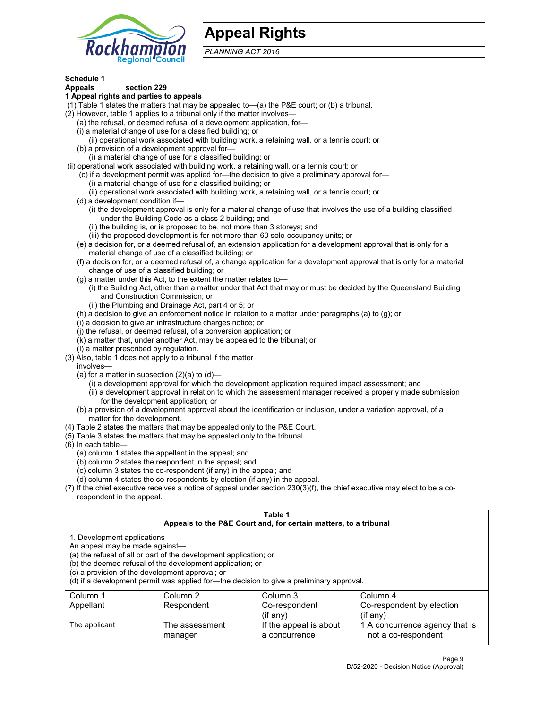

# **Appeal Rights**

*PLANNING ACT 2016*

# **Schedule 1**

# **Appeals section 229**

- **1 Appeal rights and parties to appeals**
- (1) Table 1 states the matters that may be appealed to—(a) the P&E court; or (b) a tribunal.
- (2) However, table 1 applies to a tribunal only if the matter involves—
	- (a) the refusal, or deemed refusal of a development application, for—
	- (i) a material change of use for a classified building; or
	- (ii) operational work associated with building work, a retaining wall, or a tennis court; or
	- (b) a provision of a development approval for—
	- (i) a material change of use for a classified building; or
- (ii) operational work associated with building work, a retaining wall, or a tennis court; or
	- (c) if a development permit was applied for—the decision to give a preliminary approval for— (i) a material change of use for a classified building; or
		- (ii) operational work associated with building work, a retaining wall, or a tennis court; or
	- (d) a development condition if—
		- (i) the development approval is only for a material change of use that involves the use of a building classified under the Building Code as a class 2 building; and
		- (ii) the building is, or is proposed to be, not more than 3 storeys; and
		- (iii) the proposed development is for not more than 60 sole-occupancy units; or
	- (e) a decision for, or a deemed refusal of, an extension application for a development approval that is only for a material change of use of a classified building; or
	- (f) a decision for, or a deemed refusal of, a change application for a development approval that is only for a material change of use of a classified building; or
	- (g) a matter under this Act, to the extent the matter relates to—
		- (i) the Building Act, other than a matter under that Act that may or must be decided by the Queensland Building and Construction Commission; or
		- (ii) the Plumbing and Drainage Act, part 4 or 5; or
	- (h) a decision to give an enforcement notice in relation to a matter under paragraphs (a) to (g); or
	- (i) a decision to give an infrastructure charges notice; or
	- (j) the refusal, or deemed refusal, of a conversion application; or
	- (k) a matter that, under another Act, may be appealed to the tribunal; or
	- (l) a matter prescribed by regulation.
- (3) Also, table 1 does not apply to a tribunal if the matter
	- involves—
		- (a) for a matter in subsection  $(2)(a)$  to  $(d)$ 
			- (i) a development approval for which the development application required impact assessment; and
			- (ii) a development approval in relation to which the assessment manager received a properly made submission for the development application; or
	- (b) a provision of a development approval about the identification or inclusion, under a variation approval, of a matter for the development.
- (4) Table 2 states the matters that may be appealed only to the P&E Court.
- (5) Table 3 states the matters that may be appealed only to the tribunal.
- (6) In each table—
	- (a) column 1 states the appellant in the appeal; and
	- (b) column 2 states the respondent in the appeal; and
	- (c) column 3 states the co-respondent (if any) in the appeal; and
	- (d) column 4 states the co-respondents by election (if any) in the appeal.
- (7) If the chief executive receives a notice of appeal under section 230(3)(f), the chief executive may elect to be a corespondent in the appeal.

| Table 1<br>Appeals to the P&E Court and, for certain matters, to a tribunal                                                                                                                                                                                                                                                                    |                           |                                         |                                                       |  |  |
|------------------------------------------------------------------------------------------------------------------------------------------------------------------------------------------------------------------------------------------------------------------------------------------------------------------------------------------------|---------------------------|-----------------------------------------|-------------------------------------------------------|--|--|
| 1. Development applications<br>An appeal may be made against-<br>(a) the refusal of all or part of the development application; or<br>(b) the deemed refusal of the development application; or<br>(c) a provision of the development approval; or<br>(d) if a development permit was applied for—the decision to give a preliminary approval. |                           |                                         |                                                       |  |  |
| Column 1                                                                                                                                                                                                                                                                                                                                       | Column 2                  | Column 3                                | Column 4                                              |  |  |
| Appellant                                                                                                                                                                                                                                                                                                                                      | Respondent                | Co-respondent                           | Co-respondent by election                             |  |  |
| $(if$ any)<br>$(if$ any)                                                                                                                                                                                                                                                                                                                       |                           |                                         |                                                       |  |  |
| The applicant                                                                                                                                                                                                                                                                                                                                  | The assessment<br>manager | If the appeal is about<br>a concurrence | 1 A concurrence agency that is<br>not a co-respondent |  |  |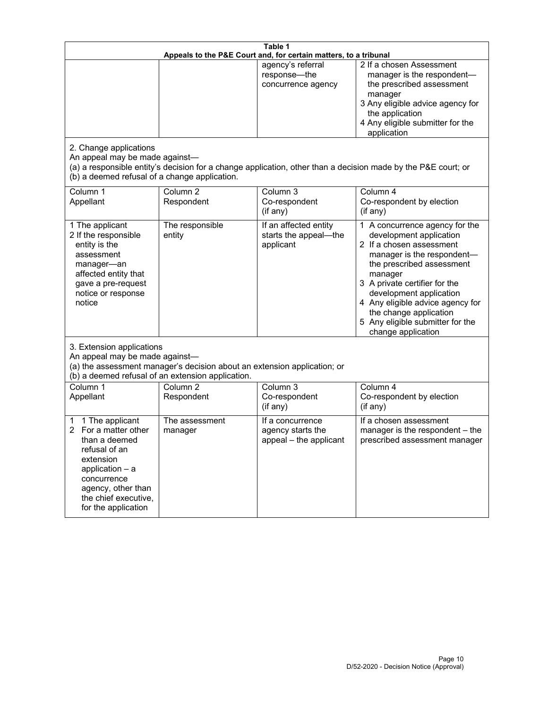| Table 1<br>Appeals to the P&E Court and, for certain matters, to a tribunal                                                                                                                             |                                   |                                                                 |                                                                                                                                                                                                                                                                                                                                                 |  |
|---------------------------------------------------------------------------------------------------------------------------------------------------------------------------------------------------------|-----------------------------------|-----------------------------------------------------------------|-------------------------------------------------------------------------------------------------------------------------------------------------------------------------------------------------------------------------------------------------------------------------------------------------------------------------------------------------|--|
| 2. Change applications<br>An appeal may be made against-<br>(b) a deemed refusal of a change application.                                                                                               |                                   | agency's referral<br>response-the<br>concurrence agency         | 2 If a chosen Assessment<br>manager is the respondent-<br>the prescribed assessment<br>manager<br>3 Any eligible advice agency for<br>the application<br>4 Any eligible submitter for the<br>application<br>(a) a responsible entity's decision for a change application, other than a decision made by the P&E court; or                       |  |
| Column 1<br>Appellant                                                                                                                                                                                   | Column <sub>2</sub><br>Respondent | Column 3<br>Co-respondent<br>(if any)                           | Column 4<br>Co-respondent by election<br>(if any)                                                                                                                                                                                                                                                                                               |  |
| 1 The applicant<br>2 If the responsible<br>entity is the<br>assessment<br>manager-an<br>affected entity that<br>gave a pre-request<br>notice or response<br>notice                                      | The responsible<br>entity         | If an affected entity<br>starts the appeal-the<br>applicant     | 1 A concurrence agency for the<br>development application<br>2 If a chosen assessment<br>manager is the respondent-<br>the prescribed assessment<br>manager<br>3 A private certifier for the<br>development application<br>4 Any eligible advice agency for<br>the change application<br>5 Any eligible submitter for the<br>change application |  |
| 3. Extension applications<br>An appeal may be made against-<br>(a) the assessment manager's decision about an extension application; or<br>(b) a deemed refusal of an extension application.            |                                   |                                                                 |                                                                                                                                                                                                                                                                                                                                                 |  |
| Column 1<br>Appellant                                                                                                                                                                                   | Column <sub>2</sub><br>Respondent | Column 3<br>Co-respondent<br>(if any)                           | Column 4<br>Co-respondent by election<br>(if any)                                                                                                                                                                                                                                                                                               |  |
| 1 The applicant<br>1<br>For a matter other<br>2<br>than a deemed<br>refusal of an<br>extension<br>application $-$ a<br>concurrence<br>agency, other than<br>the chief executive,<br>for the application | The assessment<br>manager         | If a concurrence<br>agency starts the<br>appeal - the applicant | If a chosen assessment<br>manager is the respondent - the<br>prescribed assessment manager                                                                                                                                                                                                                                                      |  |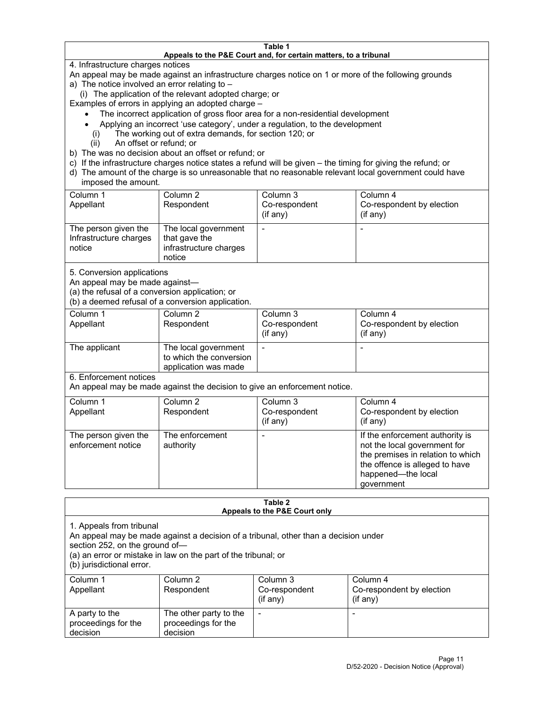#### **Table 1 Appeals to the P&E Court and, for certain matters, to a tribunal**

4. Infrastructure charges notices

An appeal may be made against an infrastructure charges notice on 1 or more of the following grounds

- a) The notice involved an error relating to
	- (i) The application of the relevant adopted charge; or

Examples of errors in applying an adopted charge –

- The incorrect application of gross floor area for a non-residential development
- Applying an incorrect 'use category', under a regulation, to the development
- (i) The working out of extra demands, for section 120; or
- (ii) An offset or refund; or
- b) The was no decision about an offset or refund; or
- c) If the infrastructure charges notice states a refund will be given the timing for giving the refund; or
- d) The amount of the charge is so unreasonable that no reasonable relevant local government could have imposed the amount.

| Column 1<br>Appellant                                    | Column 2<br>Respondent                                                    | Column 3<br>Co-respondent<br>(if any) | Column 4<br>Co-respondent by election<br>(if any) |
|----------------------------------------------------------|---------------------------------------------------------------------------|---------------------------------------|---------------------------------------------------|
| The person given the<br>Infrastructure charges<br>notice | The local government<br>that gave the<br>infrastructure charges<br>notice |                                       |                                                   |

5. Conversion applications

An appeal may be made against—

(a) the refusal of a conversion application; or

(b) a deemed refusal of a conversion application.

| Column 1      | Column 2                | Column 3      | Column 4                  |
|---------------|-------------------------|---------------|---------------------------|
| Appellant     | Respondent              | Co-respondent | Co-respondent by election |
|               |                         | $(if$ any)    | (i f any)                 |
| The applicant | The local government    |               |                           |
|               | to which the conversion |               |                           |
|               | application was made    |               |                           |

6. Enforcement notices

An appeal may be made against the decision to give an enforcement notice.

| Column 1<br>Appellant                      | Column 2<br>Respondent       | Column 3<br>Co-respondent<br>(if any) | Column 4<br>Co-respondent by election<br>(i f any)                                                                                                                         |
|--------------------------------------------|------------------------------|---------------------------------------|----------------------------------------------------------------------------------------------------------------------------------------------------------------------------|
| The person given the<br>enforcement notice | The enforcement<br>authority |                                       | If the enforcement authority is<br>not the local government for<br>the premises in relation to which<br>the offence is alleged to have<br>happened-the local<br>government |

#### **Table 2 Appeals to the P&E Court only**

1. Appeals from tribunal

An appeal may be made against a decision of a tribunal, other than a decision under

section 252, on the ground of—

(a) an error or mistake in law on the part of the tribunal; or

(b) jurisdictional error.

| Column 1<br>Appellant                             | Column 2<br>Respondent                                    | Column 3<br>Co-respondent<br>$(if$ any) | Column 4<br>Co-respondent by election<br>$(if$ any) |
|---------------------------------------------------|-----------------------------------------------------------|-----------------------------------------|-----------------------------------------------------|
| A party to the<br>proceedings for the<br>decision | The other party to the<br>proceedings for the<br>decision | $\overline{\phantom{a}}$                |                                                     |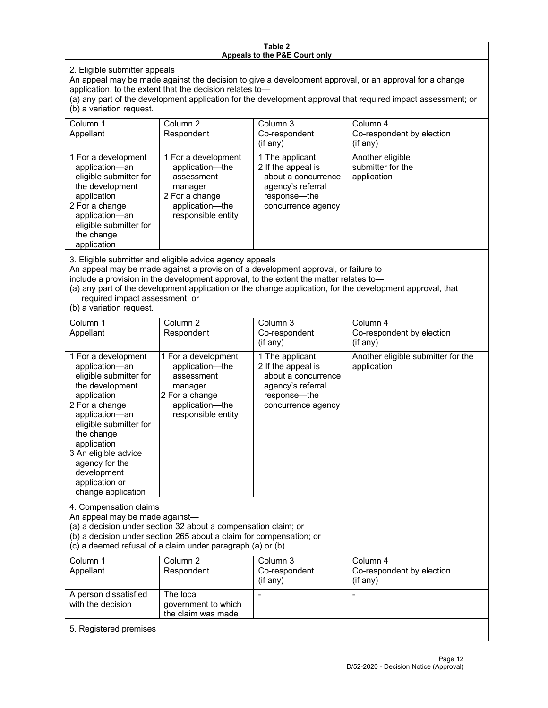#### **Table 2 Appeals to the P&E Court only**

2. Eligible submitter appeals

An appeal may be made against the decision to give a development approval, or an approval for a change application, to the extent that the decision relates to—

(a) any part of the development application for the development approval that required impact assessment; or (b) a variation request.

| Column 1<br>Appellant                                                                                                                                                                        | Column 2<br>Respondent                                                                                                     | Column 3<br>Co-respondent<br>(if any)                                                                                   | Column 4<br>Co-respondent by election<br>(if any)    |
|----------------------------------------------------------------------------------------------------------------------------------------------------------------------------------------------|----------------------------------------------------------------------------------------------------------------------------|-------------------------------------------------------------------------------------------------------------------------|------------------------------------------------------|
| 1 For a development<br>application-an<br>eligible submitter for<br>the development<br>application<br>2 For a change<br>application-an<br>eligible submitter for<br>the change<br>application | 1 For a development<br>application—the<br>assessment<br>manager<br>2 For a change<br>application-the<br>responsible entity | 1 The applicant<br>2 If the appeal is<br>about a concurrence<br>agency's referral<br>response—the<br>concurrence agency | Another eligible<br>submitter for the<br>application |

3. Eligible submitter and eligible advice agency appeals

An appeal may be made against a provision of a development approval, or failure to

include a provision in the development approval, to the extent the matter relates to—

(a) any part of the development application or the change application, for the development approval, that required impact assessment; or

(b) a variation request.

| Column 1<br>Appellant                                                                                                                                                                                                                                                                         | Column <sub>2</sub><br>Respondent                                                                                          | Column <sub>3</sub><br>Co-respondent<br>(if any)                                                                        | Column 4<br>Co-respondent by election<br>(if any) |  |
|-----------------------------------------------------------------------------------------------------------------------------------------------------------------------------------------------------------------------------------------------------------------------------------------------|----------------------------------------------------------------------------------------------------------------------------|-------------------------------------------------------------------------------------------------------------------------|---------------------------------------------------|--|
| 1 For a development<br>application-an<br>eligible submitter for<br>the development<br>application<br>2 For a change<br>application-an<br>eligible submitter for<br>the change<br>application<br>3 An eligible advice<br>agency for the<br>development<br>application or<br>change application | 1 For a development<br>application-the<br>assessment<br>manager<br>2 For a change<br>application-the<br>responsible entity | 1 The applicant<br>2 If the appeal is<br>about a concurrence<br>agency's referral<br>response-the<br>concurrence agency | Another eligible submitter for the<br>application |  |
| 4. Compensation claims<br>An appeal may be made against-<br>(a) a decision under section 32 about a compensation claim; or<br>(b) a decision under section 265 about a claim for compensation; or<br>(c) a deemed refusal of a claim under paragraph (a) or (b).                              |                                                                                                                            |                                                                                                                         |                                                   |  |
| Column <sub>1</sub><br>Appellant                                                                                                                                                                                                                                                              | Column <sub>2</sub><br>Respondent                                                                                          | Column 3<br>Co-respondent<br>(if any)                                                                                   | Column 4<br>Co-respondent by election<br>(if any) |  |
| A person dissatisfied<br>with the decision                                                                                                                                                                                                                                                    | The local<br>government to which<br>the claim was made                                                                     |                                                                                                                         |                                                   |  |
| 5. Registered premises                                                                                                                                                                                                                                                                        |                                                                                                                            |                                                                                                                         |                                                   |  |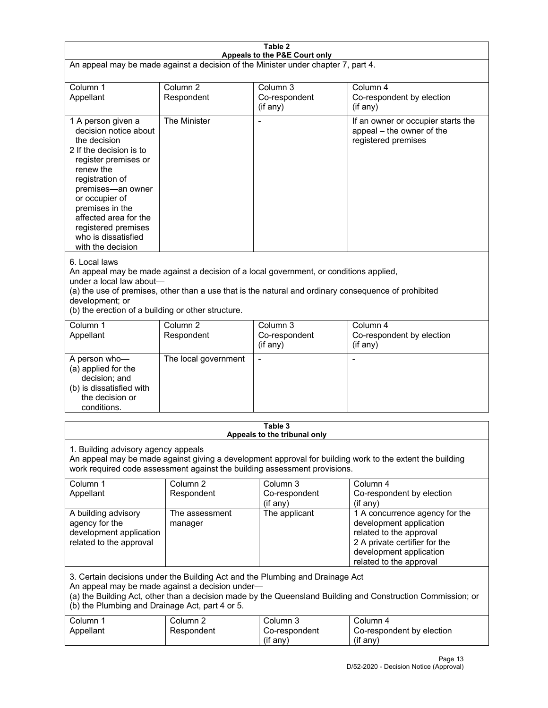| Table 2<br>Appeals to the P&E Court only                                                                                                                                                                                                                                                                             |                                   |                                                  |                                                                                                                                                                             |  |
|----------------------------------------------------------------------------------------------------------------------------------------------------------------------------------------------------------------------------------------------------------------------------------------------------------------------|-----------------------------------|--------------------------------------------------|-----------------------------------------------------------------------------------------------------------------------------------------------------------------------------|--|
| An appeal may be made against a decision of the Minister under chapter 7, part 4.                                                                                                                                                                                                                                    |                                   |                                                  |                                                                                                                                                                             |  |
|                                                                                                                                                                                                                                                                                                                      |                                   |                                                  |                                                                                                                                                                             |  |
| Column 1<br>Appellant                                                                                                                                                                                                                                                                                                | Column <sub>2</sub><br>Respondent | Column <sub>3</sub><br>Co-respondent<br>(if any) | Column 4<br>Co-respondent by election<br>$($ if any $)$                                                                                                                     |  |
| 1 A person given a<br>decision notice about<br>the decision<br>2 If the decision is to<br>register premises or<br>renew the<br>registration of<br>premises-an owner<br>or occupier of<br>premises in the<br>affected area for the<br>registered premises<br>who is dissatisfied<br>with the decision                 | The Minister                      |                                                  | If an owner or occupier starts the<br>appeal - the owner of the<br>registered premises                                                                                      |  |
| 6. Local laws<br>An appeal may be made against a decision of a local government, or conditions applied,<br>under a local law about-<br>(a) the use of premises, other than a use that is the natural and ordinary consequence of prohibited<br>development; or<br>(b) the erection of a building or other structure. |                                   |                                                  |                                                                                                                                                                             |  |
| Column 1<br>Appellant                                                                                                                                                                                                                                                                                                | Column <sub>2</sub><br>Respondent | Column 3<br>Co-respondent<br>(if any)            | Column 4<br>Co-respondent by election<br>(if any)                                                                                                                           |  |
| A person who-<br>(a) applied for the<br>decision; and<br>(b) is dissatisfied with<br>the decision or<br>conditions.                                                                                                                                                                                                  | The local government              | $\blacksquare$                                   | $\blacksquare$                                                                                                                                                              |  |
|                                                                                                                                                                                                                                                                                                                      |                                   | Table 3                                          |                                                                                                                                                                             |  |
| Appeals to the tribunal only<br>1. Building advisory agency appeals<br>An appeal may be made against giving a development approval for building work to the extent the building<br>work required code assessment against the building assessment provisions.                                                         |                                   |                                                  |                                                                                                                                                                             |  |
| Column 1<br>Appellant                                                                                                                                                                                                                                                                                                | Column <sub>2</sub><br>Respondent | Column <sub>3</sub><br>Co-respondent<br>(if any) | Column 4<br>Co-respondent by election<br>(if any)                                                                                                                           |  |
| A building advisory<br>agency for the<br>development application<br>related to the approval                                                                                                                                                                                                                          | The assessment<br>manager         | The applicant                                    | 1 A concurrence agency for the<br>development application<br>related to the approval<br>2 A private certifier for the<br>development application<br>related to the approval |  |
| 3. Certain decisions under the Building Act and the Plumbing and Drainage Act<br>An appeal may be made against a decision under-<br>(a) the Building Act, other than a decision made by the Queensland Building and Construction Commission; or<br>(b) the Plumbing and Drainage Act, part 4 or 5.                   |                                   |                                                  |                                                                                                                                                                             |  |
| Column 1<br>Appellant                                                                                                                                                                                                                                                                                                | Column <sub>2</sub><br>Respondent | Column 3<br>Co-respondent<br>(if any)            | Column 4<br>Co-respondent by election<br>(if any)                                                                                                                           |  |